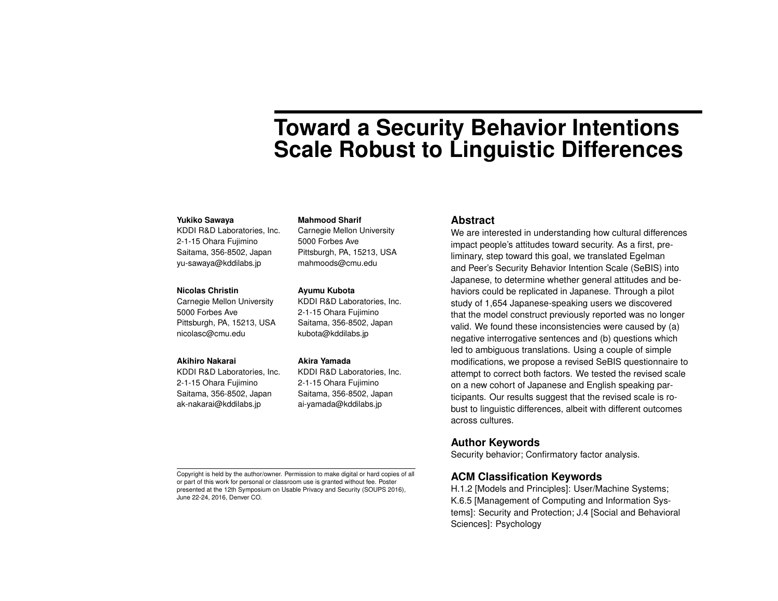# **Toward a Security Behavior Intentions Scale Robust to Linguistic Differences**

#### **Yukiko Sawaya**

KDDI R&D Laboratories, Inc. 2-1-15 Ohara Fujimino Saitama, 356-8502, Japan yu-sawaya@kddilabs.jp

#### **Nicolas Christin**

Carnegie Mellon University 5000 Forbes Ave Pittsburgh, PA, 15213, USA nicolasc@cmu.edu

### **Akihiro Nakarai**

KDDI R&D Laboratories, Inc. 2-1-15 Ohara Fujimino Saitama, 356-8502, Japan ak-nakarai@kddilabs.jp

**Mahmood Sharif** Carnegie Mellon University

5000 Forbes Ave Pittsburgh, PA, 15213, USA mahmoods@cmu.edu

#### **Ayumu Kubota**

KDDI R&D Laboratories, Inc. 2-1-15 Ohara Fujimino Saitama, 356-8502, Japan kubota@kddilabs.jp

#### **Akira Yamada**

KDDI R&D Laboratories, Inc. 2-1-15 Ohara Fujimino Saitama, 356-8502, Japan ai-yamada@kddilabs.jp

#### **Abstract**

We are interested in understanding how cultural differences impact people's attitudes toward security. As a first, preliminary, step toward this goal, we translated Egelman and Peer's Security Behavior Intention Scale (SeBIS) into Japanese, to determine whether general attitudes and behaviors could be replicated in Japanese. Through a pilot study of 1,654 Japanese-speaking users we discovered that the model construct previously reported was no longer valid. We found these inconsistencies were caused by (a) negative interrogative sentences and (b) questions which led to ambiguous translations. Using a couple of simple modifications, we propose a revised SeBIS questionnaire to attempt to correct both factors. We tested the revised scale on a new cohort of Japanese and English speaking participants. Our results suggest that the revised scale is robust to linguistic differences, albeit with different outcomes across cultures.

## **Author Keywords**

Security behavior; Confirmatory factor analysis.

## **ACM Classification Keywords**

H.1.2 [Models and Principles]: User/Machine Systems; K.6.5 [Management of Computing and Information Systems]: Security and Protection; J.4 [Social and Behavioral Sciences]: Psychology

Copyright is held by the author/owner. Permission to make digital or hard copies of all or part of this work for personal or classroom use is granted without fee. Poster presented at the 12th Symposium on Usable Privacy and Security (SOUPS 2016), June 22-24, 2016, Denver CO.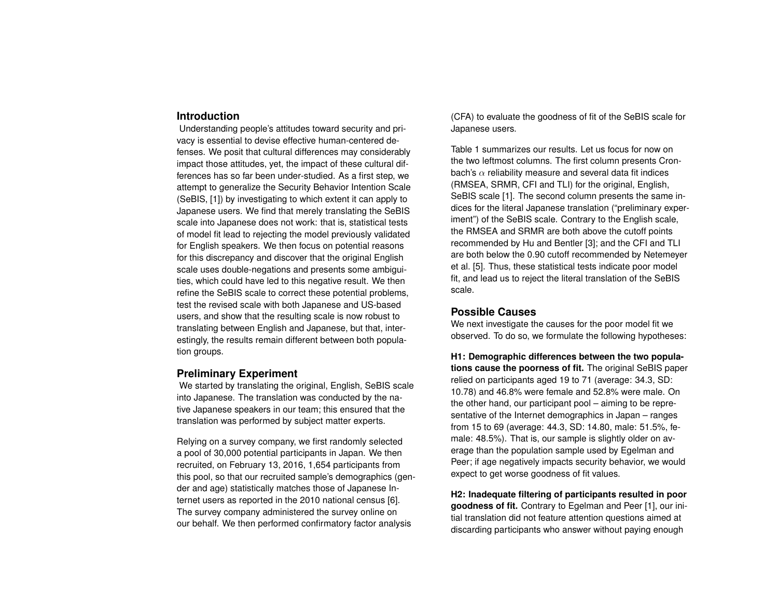## **Introduction**

Understanding people's attitudes toward security and privacy is essential to devise effective human-centered defenses. We posit that cultural differences may considerably impact those attitudes, yet, the impact of these cultural differences has so far been under-studied. As a first step, we attempt to generalize the Security Behavior Intention Scale (SeBIS, [1]) by investigating to which extent it can apply to Japanese users. We find that merely translating the SeBIS scale into Japanese does not work: that is, statistical tests of model fit lead to rejecting the model previously validated for English speakers. We then focus on potential reasons for this discrepancy and discover that the original English scale uses double-negations and presents some ambiguities, which could have led to this negative result. We then refine the SeBIS scale to correct these potential problems, test the revised scale with both Japanese and US-based users, and show that the resulting scale is now robust to translating between English and Japanese, but that, interestingly, the results remain different between both population groups.

# **Preliminary Experiment**

We started by translating the original, English, SeBIS scale into Japanese. The translation was conducted by the native Japanese speakers in our team; this ensured that the translation was performed by subject matter experts.

Relying on a survey company, we first randomly selected a pool of 30,000 potential participants in Japan. We then recruited, on February 13, 2016, 1,654 participants from this pool, so that our recruited sample's demographics (gender and age) statistically matches those of Japanese Internet users as reported in the 2010 national census [6]. The survey company administered the survey online on our behalf. We then performed confirmatory factor analysis

(CFA) to evaluate the goodness of fit of the SeBIS scale for Japanese users.

Table 1 summarizes our results. Let us focus for now on the two leftmost columns. The first column presents Cronbach's  $\alpha$  reliability measure and several data fit indices (RMSEA, SRMR, CFI and TLI) for the original, English, SeBIS scale [1]. The second column presents the same indices for the literal Japanese translation ("preliminary experiment") of the SeBIS scale. Contrary to the English scale, the RMSEA and SRMR are both above the cutoff points recommended by Hu and Bentler [3]; and the CFI and TLI are both below the 0.90 cutoff recommended by Netemeyer et al. [5]. Thus, these statistical tests indicate poor model fit, and lead us to reject the literal translation of the SeBIS scale.

## **Possible Causes**

We next investigate the causes for the poor model fit we observed. To do so, we formulate the following hypotheses:

**H1: Demographic differences between the two populations cause the poorness of fit.** The original SeBIS paper relied on participants aged 19 to 71 (average: 34.3, SD: 10.78) and 46.8% were female and 52.8% were male. On the other hand, our participant pool – aiming to be representative of the Internet demographics in Japan – ranges from 15 to 69 (average: 44.3, SD: 14.80, male: 51.5%, female: 48.5%). That is, our sample is slightly older on average than the population sample used by Egelman and Peer; if age negatively impacts security behavior, we would expect to get worse goodness of fit values.

**H2: Inadequate filtering of participants resulted in poor goodness of fit.** Contrary to Egelman and Peer [1], our initial translation did not feature attention questions aimed at discarding participants who answer without paying enough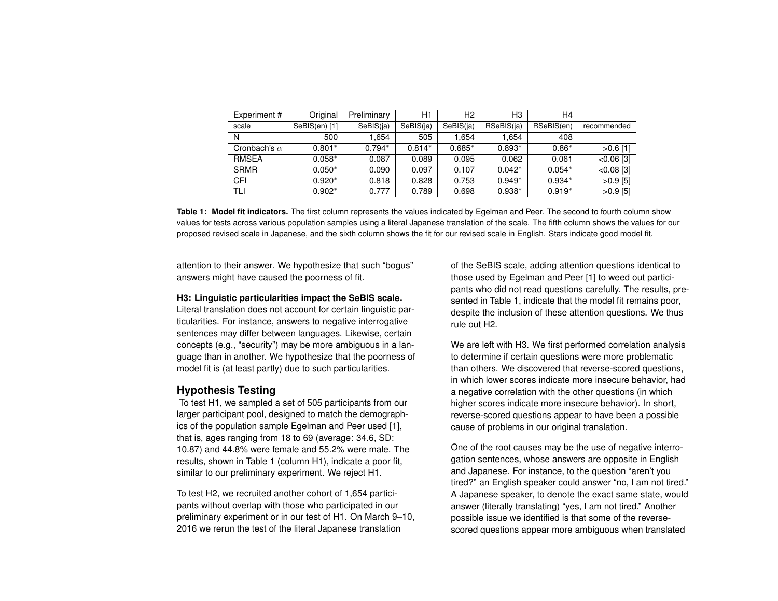| Experiment#         | Original      | Preliminary | H1        | Н2        | H3         | H4         |              |
|---------------------|---------------|-------------|-----------|-----------|------------|------------|--------------|
| scale               | SeBIS(en) [1] | SeBIS(ja)   | SeBIS(ja) | SeBIS(ja) | RSeBIS(ja) | RSeBIS(en) | recommended  |
| N                   | 500           | .654        | 505       | 1.654     | 1.654      | 408        |              |
| Cronbach's $\alpha$ | $0.801*$      | $0.794*$    | $0.814*$  | $0.685*$  | $0.893*$   | $0.86*$    | $>0.6$ [1]   |
| <b>RMSEA</b>        | $0.058*$      | 0.087       | 0.089     | 0.095     | 0.062      | 0.061      | $< 0.06$ [3] |
| <b>SRMR</b>         | $0.050*$      | 0.090       | 0.097     | 0.107     | $0.042*$   | $0.054*$   | $< 0.08$ [3] |
| <b>CFI</b>          | $0.920*$      | 0.818       | 0.828     | 0.753     | $0.949*$   | $0.934*$   | $>0.9$ [5]   |
| TLI                 | $0.902*$      | 0.777       | 0.789     | 0.698     | $0.938*$   | $0.919*$   | $>0.9$ [5]   |

**Table 1: Model fit indicators.** The first column represents the values indicated by Egelman and Peer. The second to fourth column show values for tests across various population samples using a literal Japanese translation of the scale. The fifth column shows the values for our proposed revised scale in Japanese, and the sixth column shows the fit for our revised scale in English. Stars indicate good model fit.

attention to their answer. We hypothesize that such "bogus" answers might have caused the poorness of fit.

## **H3: Linguistic particularities impact the SeBIS scale.**

Literal translation does not account for certain linguistic particularities. For instance, answers to negative interrogative sentences may differ between languages. Likewise, certain concepts (e.g., "security") may be more ambiguous in a language than in another. We hypothesize that the poorness of model fit is (at least partly) due to such particularities.

# **Hypothesis Testing**

To test H1, we sampled a set of 505 participants from our larger participant pool, designed to match the demographics of the population sample Egelman and Peer used [1], that is, ages ranging from 18 to 69 (average: 34.6, SD: 10.87) and 44.8% were female and 55.2% were male. The results, shown in Table 1 (column H1), indicate a poor fit, similar to our preliminary experiment. We reject H1.

To test H2, we recruited another cohort of 1,654 participants without overlap with those who participated in our preliminary experiment or in our test of H1. On March 9–10, 2016 we rerun the test of the literal Japanese translation

of the SeBIS scale, adding attention questions identical to those used by Egelman and Peer [1] to weed out participants who did not read questions carefully. The results, presented in Table 1, indicate that the model fit remains poor, despite the inclusion of these attention questions. We thus rule out H2.

We are left with H3. We first performed correlation analysis to determine if certain questions were more problematic than others. We discovered that reverse-scored questions, in which lower scores indicate more insecure behavior, had a negative correlation with the other questions (in which higher scores indicate more insecure behavior). In short, reverse-scored questions appear to have been a possible cause of problems in our original translation.

One of the root causes may be the use of negative interrogation sentences, whose answers are opposite in English and Japanese. For instance, to the question "aren't you tired?" an English speaker could answer "no, I am not tired." A Japanese speaker, to denote the exact same state, would answer (literally translating) "yes, I am not tired." Another possible issue we identified is that some of the reversescored questions appear more ambiguous when translated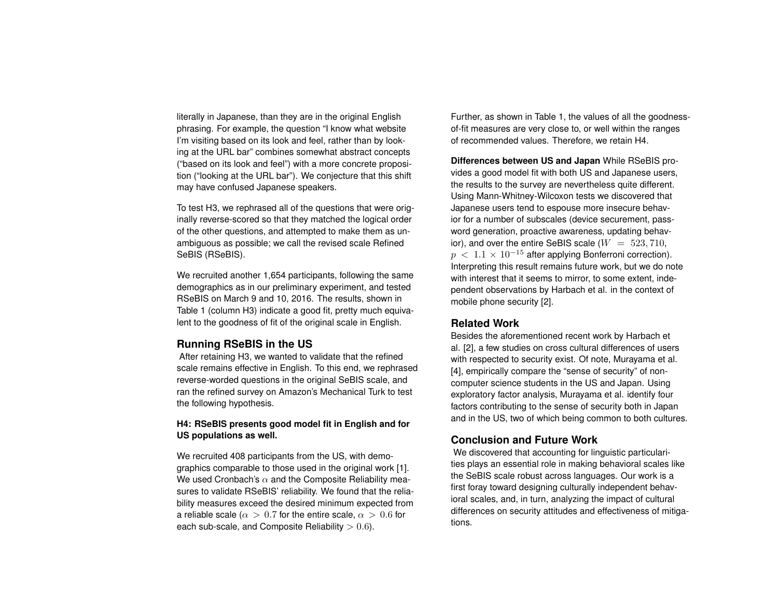literally in Japanese, than they are in the original English phrasing. For example, the question "I know what website I'm visiting based on its look and feel, rather than by looking at the URL bar" combines somewhat abstract concepts ("based on its look and feel") with a more concrete proposition ("looking at the URL bar"). We conjecture that this shift may have confused Japanese speakers.

To test H3, we rephrased all of the questions that were originally reverse-scored so that they matched the logical order of the other questions, and attempted to make them as unambiguous as possible; we call the revised scale Refined SeBIS (RSeBIS).

We recruited another 1,654 participants, following the same demographics as in our preliminary experiment, and tested RSeBIS on March 9 and 10, 2016. The results, shown in Table 1 (column H3) indicate a good fit, pretty much equivalent to the goodness of fit of the original scale in English.

# **Running RSeBIS in the US**

After retaining H3, we wanted to validate that the refined scale remains effective in English. To this end, we rephrased reverse-worded questions in the original SeBIS scale, and ran the refined survey on Amazon's Mechanical Turk to test the following hypothesis.

## **H4: RSeBIS presents good model fit in English and for US populations as well.**

We recruited 408 participants from the US, with demographics comparable to those used in the original work [1]. We used Cronbach's  $\alpha$  and the Composite Reliability measures to validate RSeBIS' reliability. We found that the reliability measures exceed the desired minimum expected from a reliable scale ( $\alpha > 0.7$  for the entire scale,  $\alpha > 0.6$  for each sub-scale, and Composite Reliability  $> 0.6$ ).

Further, as shown in Table 1, the values of all the goodnessof-fit measures are very close to, or well within the ranges of recommended values. Therefore, we retain H4.

**Differences between US and Japan** While RSeBIS provides a good model fit with both US and Japanese users, the results to the survey are nevertheless quite different. Using Mann-Whitney-Wilcoxon tests we discovered that Japanese users tend to espouse more insecure behavior for a number of subscales (device securement, password generation, proactive awareness, updating behavior), and over the entire SeBIS scale  $(W = 523, 710, 100)$  $p < 1.1 \times 10^{-15}$  after applying Bonferroni correction). Interpreting this result remains future work, but we do note with interest that it seems to mirror, to some extent, independent observations by Harbach et al. in the context of mobile phone security [2].

## **Related Work**

Besides the aforementioned recent work by Harbach et al. [2], a few studies on cross cultural differences of users with respected to security exist. Of note, Murayama et al. [4], empirically compare the "sense of security" of noncomputer science students in the US and Japan. Using exploratory factor analysis, Murayama et al. identify four factors contributing to the sense of security both in Japan and in the US, two of which being common to both cultures.

# **Conclusion and Future Work**

We discovered that accounting for linguistic particularities plays an essential role in making behavioral scales like the SeBIS scale robust across languages. Our work is a first foray toward designing culturally independent behavioral scales, and, in turn, analyzing the impact of cultural differences on security attitudes and effectiveness of mitigations.